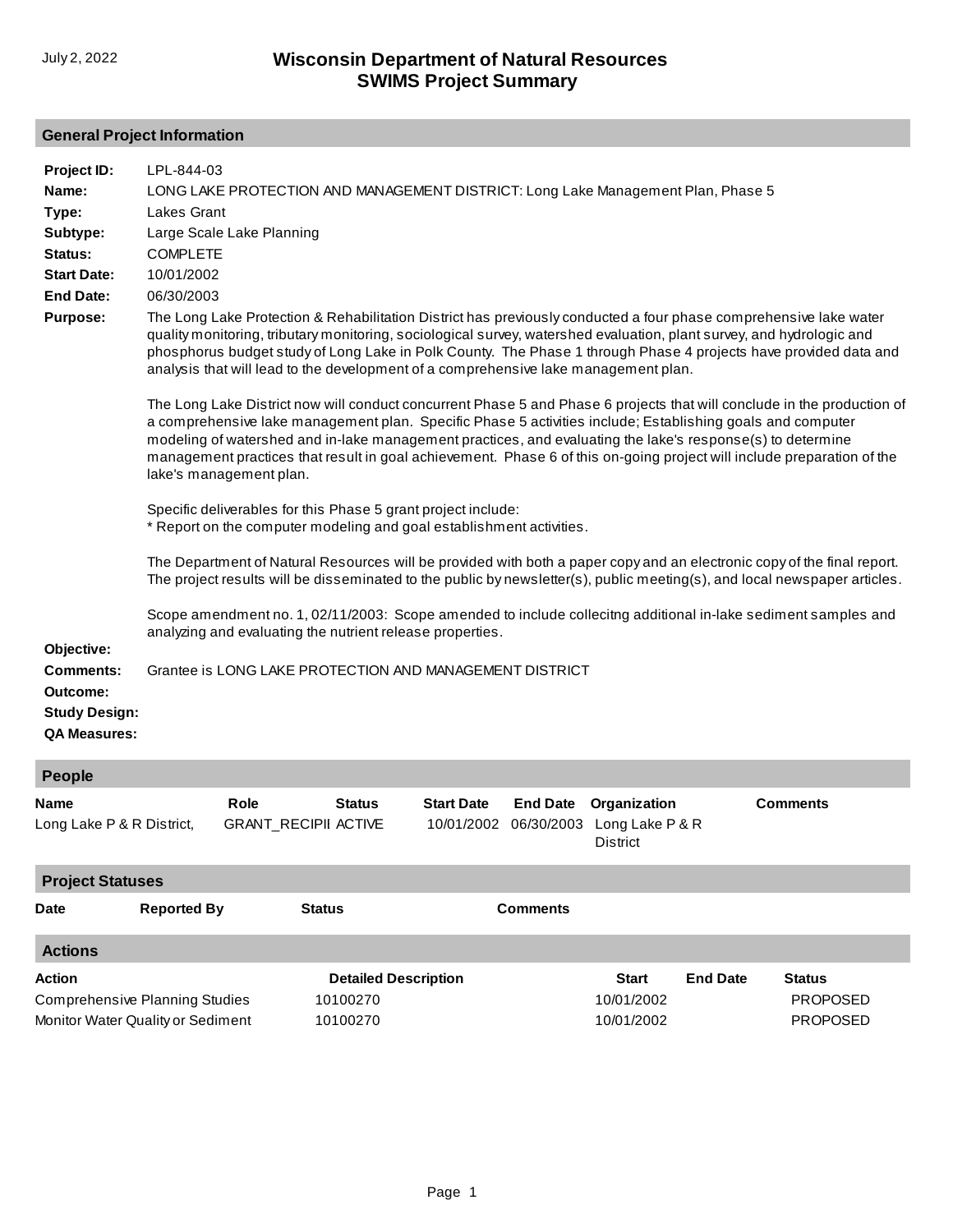## **General Project Information**

| Project ID:<br>Name:<br>Type:<br>Subtype:<br>Status:<br><b>Start Date:</b><br><b>End Date:</b><br><b>Purpose:</b> | LPL-844-03<br>LONG LAKE PROTECTION AND MANAGEMENT DISTRICT: Long Lake Management Plan, Phase 5<br>Lakes Grant<br>Large Scale Lake Planning<br><b>COMPLETE</b><br>10/01/2002<br>06/30/2003<br>The Long Lake Protection & Rehabilitation District has previously conducted a four phase comprehensive lake water<br>quality monitoring, tributary monitoring, sociological survey, watershed evaluation, plant survey, and hydrologic and<br>phosphorus budget study of Long Lake in Polk County. The Phase 1 through Phase 4 projects have provided data and<br>analysis that will lead to the development of a comprehensive lake management plan.<br>The Long Lake District now will conduct concurrent Phase 5 and Phase 6 projects that will conclude in the production of<br>a comprehensive lake management plan. Specific Phase 5 activities include; Establishing goals and computer<br>modeling of watershed and in-lake management practices, and evaluating the lake's response(s) to determine<br>management practices that result in goal achievement. Phase 6 of this on-going project will include preparation of the<br>lake's management plan. |
|-------------------------------------------------------------------------------------------------------------------|----------------------------------------------------------------------------------------------------------------------------------------------------------------------------------------------------------------------------------------------------------------------------------------------------------------------------------------------------------------------------------------------------------------------------------------------------------------------------------------------------------------------------------------------------------------------------------------------------------------------------------------------------------------------------------------------------------------------------------------------------------------------------------------------------------------------------------------------------------------------------------------------------------------------------------------------------------------------------------------------------------------------------------------------------------------------------------------------------------------------------------------------------------------|
| Objective:<br><b>Comments:</b><br>Outcome:<br><b>Study Design:</b><br><b>QA Measures:</b>                         | Specific deliverables for this Phase 5 grant project include:<br>* Report on the computer modeling and goal establishment activities.<br>The Department of Natural Resources will be provided with both a paper copy and an electronic copy of the final report.<br>The project results will be disseminated to the public by newsletter(s), public meeting(s), and local newspaper articles.<br>Scope amendment no. 1, 02/11/2003: Scope amended to include collecitng additional in-lake sediment samples and<br>analyzing and evaluating the nutrient release properties.<br>Grantee is LONG LAKE PROTECTION AND MANAGEMENT DISTRICT                                                                                                                                                                                                                                                                                                                                                                                                                                                                                                                        |

| People                    |                      |               |                   |                                                          |                 |
|---------------------------|----------------------|---------------|-------------------|----------------------------------------------------------|-----------------|
| <b>Name</b>               | Role                 | <b>Status</b> | <b>Start Date</b> | <b>End Date</b> Organization                             | <b>Comments</b> |
| Long Lake P & R District, | GRANT_RECIPII ACTIVE |               |                   | 10/01/2002 06/30/2003 Long Lake P & R<br><b>District</b> |                 |

| <b>Project Statuses</b> |                                                                            |                             |                 |                          |                 |                                    |  |  |
|-------------------------|----------------------------------------------------------------------------|-----------------------------|-----------------|--------------------------|-----------------|------------------------------------|--|--|
| Date                    | <b>Reported By</b>                                                         | <b>Status</b>               | <b>Comments</b> |                          |                 |                                    |  |  |
| <b>Actions</b>          |                                                                            |                             |                 |                          |                 |                                    |  |  |
| <b>Action</b>           |                                                                            | <b>Detailed Description</b> |                 | <b>Start</b>             | <b>End Date</b> | <b>Status</b>                      |  |  |
|                         | <b>Comprehensive Planning Studies</b><br>Monitor Water Quality or Sediment | 10100270<br>10100270        |                 | 10/01/2002<br>10/01/2002 |                 | <b>PROPOSED</b><br><b>PROPOSED</b> |  |  |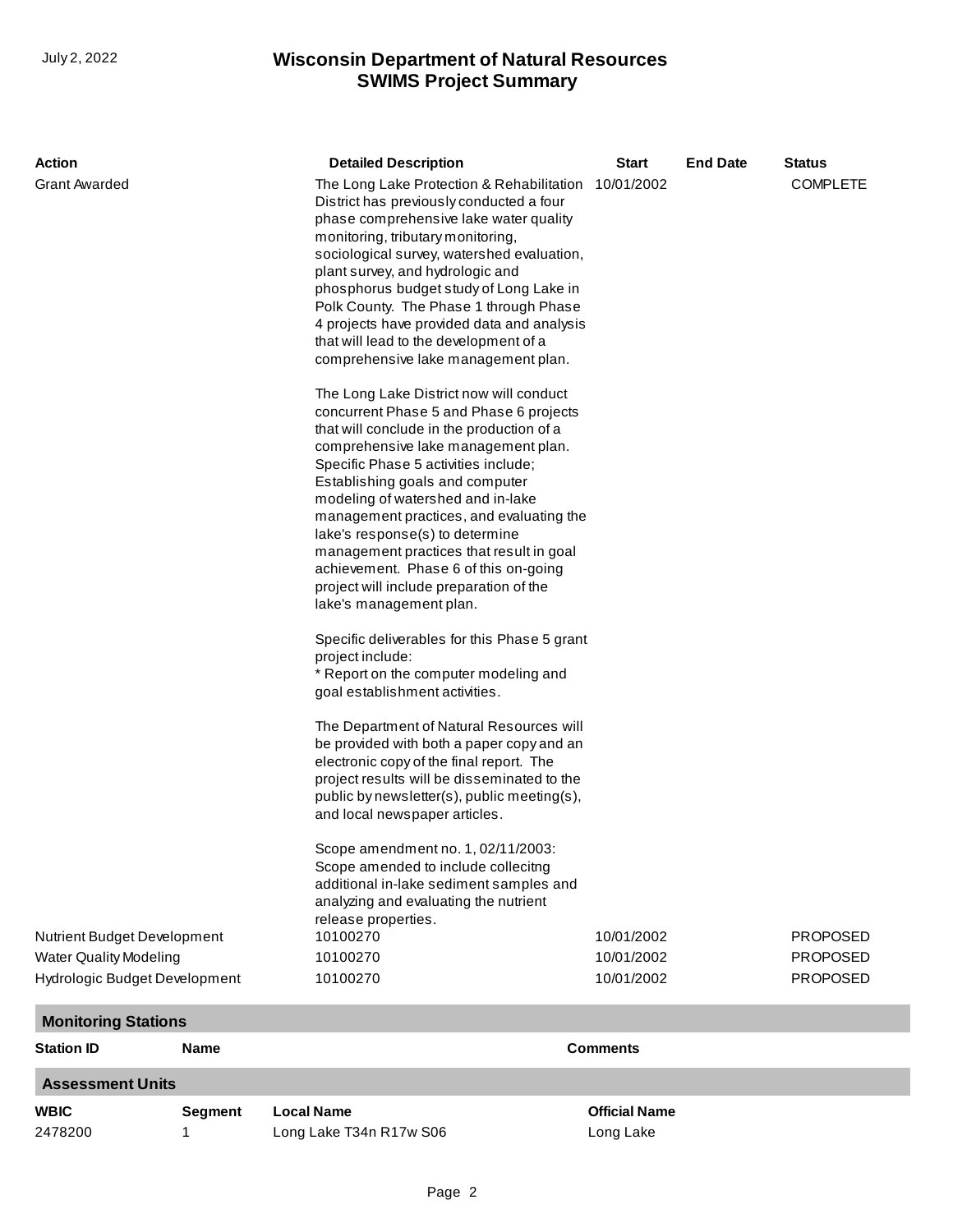## **SWIMS Project Summary** July 2, 2022 **Wisconsin Department of Natural Resources**

| Action                                                                                                                |                            | <b>Detailed Description</b>                                                                                                                                                                                                                                                                                                                                                                                                                                                                                                                                                                                                                                                                                                                                                                                                                                                                                                                                                                                                                                                                                                                                                                                                                                                                                                                                                                                                                                                                                                                                                                                                                                              | <b>Start</b>                           | <b>End Date</b> | <b>Status</b>                                                            |  |  |  |
|-----------------------------------------------------------------------------------------------------------------------|----------------------------|--------------------------------------------------------------------------------------------------------------------------------------------------------------------------------------------------------------------------------------------------------------------------------------------------------------------------------------------------------------------------------------------------------------------------------------------------------------------------------------------------------------------------------------------------------------------------------------------------------------------------------------------------------------------------------------------------------------------------------------------------------------------------------------------------------------------------------------------------------------------------------------------------------------------------------------------------------------------------------------------------------------------------------------------------------------------------------------------------------------------------------------------------------------------------------------------------------------------------------------------------------------------------------------------------------------------------------------------------------------------------------------------------------------------------------------------------------------------------------------------------------------------------------------------------------------------------------------------------------------------------------------------------------------------------|----------------------------------------|-----------------|--------------------------------------------------------------------------|--|--|--|
| <b>Grant Awarded</b><br>Nutrient Budget Development<br><b>Water Quality Modeling</b><br>Hydrologic Budget Development |                            | The Long Lake Protection & Rehabilitation 10/01/2002<br>District has previously conducted a four<br>phase comprehensive lake water quality<br>monitoring, tributary monitoring,<br>sociological survey, watershed evaluation,<br>plant survey, and hydrologic and<br>phosphorus budget study of Long Lake in<br>Polk County. The Phase 1 through Phase<br>4 projects have provided data and analysis<br>that will lead to the development of a<br>comprehensive lake management plan.<br>The Long Lake District now will conduct<br>concurrent Phase 5 and Phase 6 projects<br>that will conclude in the production of a<br>comprehensive lake management plan.<br>Specific Phase 5 activities include;<br>Establishing goals and computer<br>modeling of watershed and in-lake<br>management practices, and evaluating the<br>lake's response(s) to determine<br>management practices that result in goal<br>achievement. Phase 6 of this on-going<br>project will include preparation of the<br>lake's management plan.<br>Specific deliverables for this Phase 5 grant<br>project include:<br>* Report on the computer modeling and<br>goal establishment activities.<br>The Department of Natural Resources will<br>be provided with both a paper copy and an<br>electronic copy of the final report. The<br>project results will be disseminated to the<br>public by newsletter(s), public meeting(s),<br>and local newspaper articles.<br>Scope amendment no. 1, 02/11/2003:<br>Scope amended to include collecitng<br>additional in-lake sediment samples and<br>analyzing and evaluating the nutrient<br>release properties.<br>10100270<br>10100270<br>10100270 | 10/01/2002<br>10/01/2002<br>10/01/2002 |                 | <b>COMPLETE</b><br><b>PROPOSED</b><br><b>PROPOSED</b><br><b>PROPOSED</b> |  |  |  |
|                                                                                                                       | <b>Monitoring Stations</b> |                                                                                                                                                                                                                                                                                                                                                                                                                                                                                                                                                                                                                                                                                                                                                                                                                                                                                                                                                                                                                                                                                                                                                                                                                                                                                                                                                                                                                                                                                                                                                                                                                                                                          |                                        |                 |                                                                          |  |  |  |
| <b>Station ID</b>                                                                                                     | Name                       |                                                                                                                                                                                                                                                                                                                                                                                                                                                                                                                                                                                                                                                                                                                                                                                                                                                                                                                                                                                                                                                                                                                                                                                                                                                                                                                                                                                                                                                                                                                                                                                                                                                                          | <b>Comments</b>                        |                 |                                                                          |  |  |  |
| <b>Assessment Units</b>                                                                                               |                            |                                                                                                                                                                                                                                                                                                                                                                                                                                                                                                                                                                                                                                                                                                                                                                                                                                                                                                                                                                                                                                                                                                                                                                                                                                                                                                                                                                                                                                                                                                                                                                                                                                                                          |                                        |                 |                                                                          |  |  |  |
| <b>WBIC</b>                                                                                                           | <b>Segment</b>             | <b>Local Name</b>                                                                                                                                                                                                                                                                                                                                                                                                                                                                                                                                                                                                                                                                                                                                                                                                                                                                                                                                                                                                                                                                                                                                                                                                                                                                                                                                                                                                                                                                                                                                                                                                                                                        | <b>Official Name</b>                   |                 |                                                                          |  |  |  |
| 2478200                                                                                                               | 1                          | Long Lake T34n R17w S06                                                                                                                                                                                                                                                                                                                                                                                                                                                                                                                                                                                                                                                                                                                                                                                                                                                                                                                                                                                                                                                                                                                                                                                                                                                                                                                                                                                                                                                                                                                                                                                                                                                  | Long Lake                              |                 |                                                                          |  |  |  |